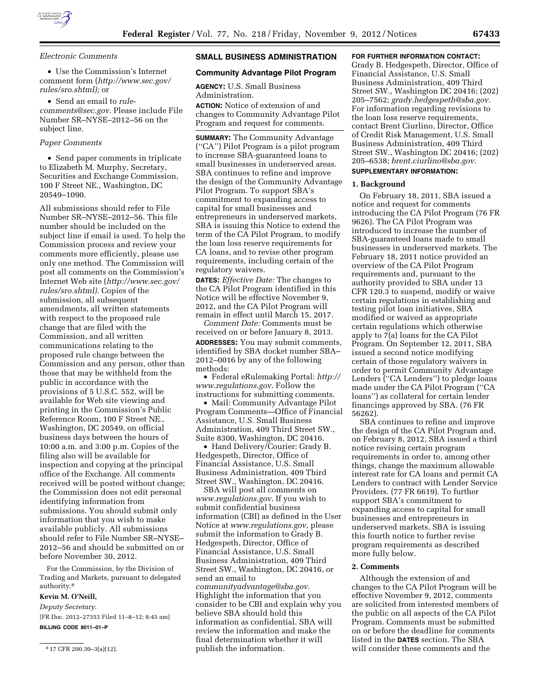

*Electronic Comments* 

• Use the Commission's Internet comment form (*[http://www.sec.gov/](http://www.sec.gov/rules/sro.shtml)  [rules/sro.shtml\);](http://www.sec.gov/rules/sro.shtml)* or

• Send an email to *[rule](mailto:rule-comments@sec.gov)[comments@sec.gov](mailto:rule-comments@sec.gov)*. Please include File Number SR–NYSE–2012–56 on the subject line.

#### *Paper Comments*

• Send paper comments in triplicate to Elizabeth M. Murphy, Secretary, Securities and Exchange Commission, 100 F Street NE., Washington, DC 20549–1090.

All submissions should refer to File Number SR–NYSE–2012–56. This file number should be included on the subject line if email is used. To help the Commission process and review your comments more efficiently, please use only one method. The Commission will post all comments on the Commission's Internet Web site (*[http://www.sec.gov/](http://www.sec.gov/rules/sro.shtml)  [rules/sro.shtml\).](http://www.sec.gov/rules/sro.shtml)* Copies of the submission, all subsequent amendments, all written statements with respect to the proposed rule change that are filed with the Commission, and all written communications relating to the proposed rule change between the Commission and any person, other than those that may be withheld from the public in accordance with the provisions of 5 U.S.C. 552, will be available for Web site viewing and printing in the Commission's Public Reference Room, 100 F Street NE., Washington, DC 20549, on official business days between the hours of 10:00 a.m. and 3:00 p.m. Copies of the filing also will be available for inspection and copying at the principal office of the Exchange. All comments received will be posted without change; the Commission does not edit personal identifying information from submissions. You should submit only information that you wish to make available publicly. All submissions should refer to File Number SR–NYSE– 2012–56 and should be submitted on or before November 30, 2012.

For the Commission, by the Division of Trading and Markets, pursuant to delegated authority.8

# **Kevin M. O'Neill,**

*Deputy Secretary.*  [FR Doc. 2012–27353 Filed 11–8–12; 8:45 am] **BILLING CODE 8011–01–P** 

8 17 CFR 200.30–3(a)(12).

# **SMALL BUSINESS ADMINISTRATION**

### **Community Advantage Pilot Program**

**AGENCY:** U.S. Small Business Administration.

**ACTION:** Notice of extension of and changes to Community Advantage Pilot Program and request for comments.

**SUMMARY:** The Community Advantage (''CA'') Pilot Program is a pilot program to increase SBA-guaranteed loans to small businesses in underserved areas. SBA continues to refine and improve the design of the Community Advantage Pilot Program. To support SBA's commitment to expanding access to capital for small businesses and entrepreneurs in underserved markets, SBA is issuing this Notice to extend the term of the CA Pilot Program, to modify the loan loss reserve requirements for CA loans, and to revise other program requirements, including certain of the regulatory waivers.

**DATES:** *Effective Date:* The changes to the CA Pilot Program identified in this Notice will be effective November 9, 2012, and the CA Pilot Program will remain in effect until March 15, 2017.

*Comment Date:* Comments must be received on or before January 8, 2013. **ADDRESSES:** You may submit comments, identified by SBA docket number SBA– 2012–0016 by any of the following methods:

• Federal eRulemaking Portal: *[http://](http://www.regulations.gov) [www.regulations.gov](http://www.regulations.gov)*. Follow the instructions for submitting comments.

• Mail: Community Advantage Pilot Program Comments—Office of Financial Assistance, U.S. Small Business Administration, 409 Third Street SW., Suite 8300, Washington, DC 20416.

• Hand Delivery/Courier: Grady B. Hedgespeth, Director, Office of Financial Assistance, U.S. Small Business Administration, 409 Third Street SW., Washington, DC 20416.

SBA will post all comments on *[www.regulations.gov](http://www.regulations.gov)*. If you wish to submit confidential business information (CBI) as defined in the User Notice at *[www.regulations.gov,](http://www.regulations.gov)* please submit the information to Grady B. Hedgespeth, Director, Office of Financial Assistance, U.S. Small Business Administration, 409 Third Street SW., Washington, DC 20416, or send an email to

*[communityadvantage@sba.gov](mailto:communityadvantage@sba.gov)*. Highlight the information that you consider to be CBI and explain why you believe SBA should hold this information as confidential. SBA will review the information and make the final determination whether it will publish the information.

#### **FOR FURTHER INFORMATION CONTACT:**

Grady B. Hedgespeth, Director, Office of Financial Assistance, U.S. Small Business Administration, 409 Third Street SW., Washington DC 20416; (202) 205–7562; *[grady.hedgespeth@sba.gov](mailto:grady.hedgespeth@sba.gov)*. For information regarding revisions to the loan loss reserve requirements, contact Brent Ciurlino, Director, Office of Credit Risk Management, U.S. Small Business Administration, 409 Third Street SW., Washington DC 20416; (202) 205–6538; *[brent.ciurlino@sba.gov](mailto:brent.ciurlino@sba.gov)*. **SUPPLEMENTARY INFORMATION:** 

# **1. Background**

On February 18, 2011, SBA issued a notice and request for comments introducing the CA Pilot Program (76 FR 9626). The CA Pilot Program was introduced to increase the number of SBA-guaranteed loans made to small businesses in underserved markets. The February 18, 2011 notice provided an overview of the CA Pilot Program requirements and, pursuant to the authority provided to SBA under 13 CFR 120.3 to suspend, modify or waive certain regulations in establishing and testing pilot loan initiatives, SBA modified or waived as appropriate certain regulations which otherwise apply to 7(a) loans for the CA Pilot Program. On September 12, 2011, SBA issued a second notice modifying certain of those regulatory waivers in order to permit Community Advantage Lenders (''CA Lenders'') to pledge loans made under the CA Pilot Program (''CA loans'') as collateral for certain lender financings approved by SBA. (76 FR 56262).

SBA continues to refine and improve the design of the CA Pilot Program and, on February 8, 2012, SBA issued a third notice revising certain program requirements in order to, among other things, change the maximum allowable interest rate for CA loans and permit CA Lenders to contract with Lender Service Providers. (77 FR 6619). To further support SBA's commitment to expanding access to capital for small businesses and entrepreneurs in underserved markets, SBA is issuing this fourth notice to further revise program requirements as described more fully below.

# **2. Comments**

Although the extension of and changes to the CA Pilot Program will be effective November 9, 2012, comments are solicited from interested members of the public on all aspects of the CA Pilot Program. Comments must be submitted on or before the deadline for comments listed in the **DATES** section. The SBA will consider these comments and the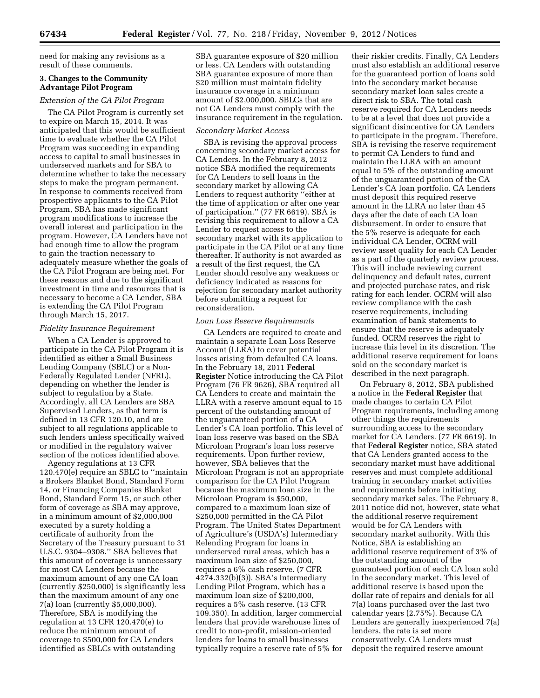need for making any revisions as a result of these comments.

# **3. Changes to the Community Advantage Pilot Program**

# *Extension of the CA Pilot Program*

The CA Pilot Program is currently set to expire on March 15, 2014. It was anticipated that this would be sufficient time to evaluate whether the CA Pilot Program was succeeding in expanding access to capital to small businesses in underserved markets and for SBA to determine whether to take the necessary steps to make the program permanent. In response to comments received from prospective applicants to the CA Pilot Program, SBA has made significant program modifications to increase the overall interest and participation in the program. However, CA Lenders have not had enough time to allow the program to gain the traction necessary to adequately measure whether the goals of the CA Pilot Program are being met. For these reasons and due to the significant investment in time and resources that is necessary to become a CA Lender, SBA is extending the CA Pilot Program through March 15, 2017.

#### *Fidelity Insurance Requirement*

When a CA Lender is approved to participate in the CA Pilot Program it is identified as either a Small Business Lending Company (SBLC) or a Non-Federally Regulated Lender (NFRL), depending on whether the lender is subject to regulation by a State. Accordingly, all CA Lenders are SBA Supervised Lenders, as that term is defined in 13 CFR 120.10, and are subject to all regulations applicable to such lenders unless specifically waived or modified in the regulatory waiver section of the notices identified above.

Agency regulations at 13 CFR 120.470(e) require an SBLC to ''maintain a Brokers Blanket Bond, Standard Form 14, or Financing Companies Blanket Bond, Standard Form 15, or such other form of coverage as SBA may approve, in a minimum amount of \$2,000,000 executed by a surety holding a certificate of authority from the Secretary of the Treasury pursuant to 31 U.S.C. 9304–9308.'' SBA believes that this amount of coverage is unnecessary for most CA Lenders because the maximum amount of any one CA loan (currently \$250,000) is significantly less than the maximum amount of any one 7(a) loan (currently \$5,000,000). Therefore, SBA is modifying the regulation at 13 CFR 120.470(e) to reduce the minimum amount of coverage to \$500,000 for CA Lenders identified as SBLCs with outstanding

SBA guarantee exposure of \$20 million or less. CA Lenders with outstanding SBA guarantee exposure of more than \$20 million must maintain fidelity insurance coverage in a minimum amount of \$2,000,000. SBLCs that are not CA Lenders must comply with the insurance requirement in the regulation.

#### *Secondary Market Access*

SBA is revising the approval process concerning secondary market access for CA Lenders. In the February 8, 2012 notice SBA modified the requirements for CA Lenders to sell loans in the secondary market by allowing CA Lenders to request authority ''either at the time of application or after one year of participation.'' (77 FR 6619). SBA is revising this requirement to allow a CA Lender to request access to the secondary market with its application to participate in the CA Pilot or at any time thereafter. If authority is not awarded as a result of the first request, the CA Lender should resolve any weakness or deficiency indicated as reasons for rejection for secondary market authority before submitting a request for reconsideration.

#### *Loan Loss Reserve Requirements*

CA Lenders are required to create and maintain a separate Loan Loss Reserve Account (LLRA) to cover potential losses arising from defaulted CA loans. In the February 18, 2011 **Federal Register** Notice introducing the CA Pilot Program (76 FR 9626), SBA required all CA Lenders to create and maintain the LLRA with a reserve amount equal to 15 percent of the outstanding amount of the unguaranteed portion of a CA Lender's CA loan portfolio. This level of loan loss reserve was based on the SBA Microloan Program's loan loss reserve requirements. Upon further review, however, SBA believes that the Microloan Program is not an appropriate comparison for the CA Pilot Program because the maximum loan size in the Microloan Program is \$50,000, compared to a maximum loan size of \$250,000 permitted in the CA Pilot Program. The United States Department of Agriculture's (USDA's) Intermediary Relending Program for loans in underserved rural areas, which has a maximum loan size of \$250,000, requires a 6% cash reserve. (7 CFR 4274.332(b)(3)). SBA's Intermediary Lending Pilot Program, which has a maximum loan size of \$200,000, requires a 5% cash reserve. (13 CFR 109.350). In addition, larger commercial lenders that provide warehouse lines of credit to non-profit, mission-oriented lenders for loans to small businesses typically require a reserve rate of 5% for

their riskier credits. Finally, CA Lenders must also establish an additional reserve for the guaranteed portion of loans sold into the secondary market because secondary market loan sales create a direct risk to SBA. The total cash reserve required for CA Lenders needs to be at a level that does not provide a significant disincentive for CA Lenders to participate in the program. Therefore, SBA is revising the reserve requirement to permit CA Lenders to fund and maintain the LLRA with an amount equal to 5% of the outstanding amount of the unguaranteed portion of the CA Lender's CA loan portfolio. CA Lenders must deposit this required reserve amount in the LLRA no later than 45 days after the date of each CA loan disbursement. In order to ensure that the 5% reserve is adequate for each individual CA Lender, OCRM will review asset quality for each CA Lender as a part of the quarterly review process. This will include reviewing current delinquency and default rates, current and projected purchase rates, and risk rating for each lender. OCRM will also review compliance with the cash reserve requirements, including examination of bank statements to ensure that the reserve is adequately funded. OCRM reserves the right to increase this level in its discretion. The additional reserve requirement for loans sold on the secondary market is described in the next paragraph.

On February 8, 2012, SBA published a notice in the **Federal Register** that made changes to certain CA Pilot Program requirements, including among other things the requirements surrounding access to the secondary market for CA Lenders. (77 FR 6619). In that **Federal Register** notice, SBA stated that CA Lenders granted access to the secondary market must have additional reserves and must complete additional training in secondary market activities and requirements before initiating secondary market sales. The February 8, 2011 notice did not, however, state what the additional reserve requirement would be for CA Lenders with secondary market authority. With this Notice, SBA is establishing an additional reserve requirement of 3% of the outstanding amount of the guaranteed portion of each CA loan sold in the secondary market. This level of additional reserve is based upon the dollar rate of repairs and denials for all 7(a) loans purchased over the last two calendar years (2.75%). Because CA Lenders are generally inexperienced 7(a) lenders, the rate is set more conservatively. CA Lenders must deposit the required reserve amount